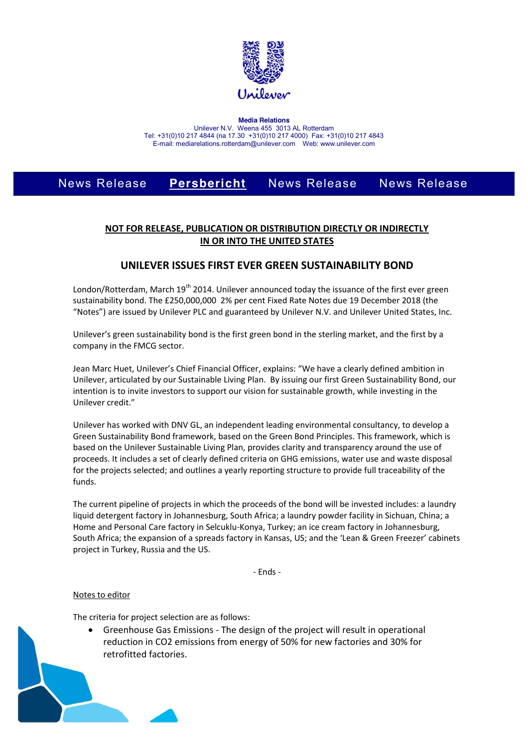

**Media Relations** Unilever N.V. Weena 455 3013 AL Rotterdam Tel: +31(0)10 217 4844 (na 17.30 +31(0)10 217 4000) Fax: +31(0)10 217 4843 E-mail: mediarelations.rotterdam@unilever.com Web: www.unilever.com

# News Release **Persbericht** News Release News Release

## **NOT FOR RELEASE, PUBLICATION OR DISTRIBUTION DIRECTLY OR INDIRECTLY IN OR INTO THE UNITED STATES**

## **UNILEVER ISSUES FIRST EVER GREEN SUSTAINABILITY BOND**

London/Rotterdam, March 19<sup>th</sup> 2014. Unilever announced today the issuance of the first ever green sustainability bond. The £250,000,000 2% per cent Fixed Rate Notes due 19 December 2018 (the "Notes") are issued by Unilever PLC and guaranteed by Unilever N.V. and Unilever United States, Inc.

Unilever's green sustainability bond is the first green bond in the sterling market, and the first by a company in the FMCG sector.

Jean Marc Huet, Unilever's Chief Financial Officer, explains: "We have a clearly defined ambition in Unilever, articulated by our Sustainable Living Plan. By issuing our first Green Sustainability Bond, our intention is to invite investors to support our vision for sustainable growth, while investing in the Unilever credit."

Unilever has worked with DNV GL, an independent leading environmental consultancy, to develop a Green Sustainability Bond framework, based on the Green Bond Principles. This framework, which is based on the Unilever Sustainable Living Plan, provides clarity and transparency around the use of proceeds. It includes a set of clearly defined criteria on GHG emissions, water use and waste disposal for the projects selected; and outlines a yearly reporting structure to provide full traceability of the funds.

The current pipeline of projects in which the proceeds of the bond will be invested includes: a laundry liquid detergent factory in Johannesburg, South Africa; a laundry powder facility in Sichuan, China; a Home and Personal Care factory in Selcuklu-Konya, Turkey; an ice cream factory in Johannesburg, South Africa; the expansion of a spreads factory in Kansas, US; and the 'Lean & Green Freezer' cabinets project in Turkey, Russia and the US.

- Ends -

### Notes to editor

The criteria for project selection are as follows:

Greenhouse Gas Emissions - The design of the project will result in operational reduction in CO2 emissions from energy of 50% for new factories and 30% for retrofitted factories.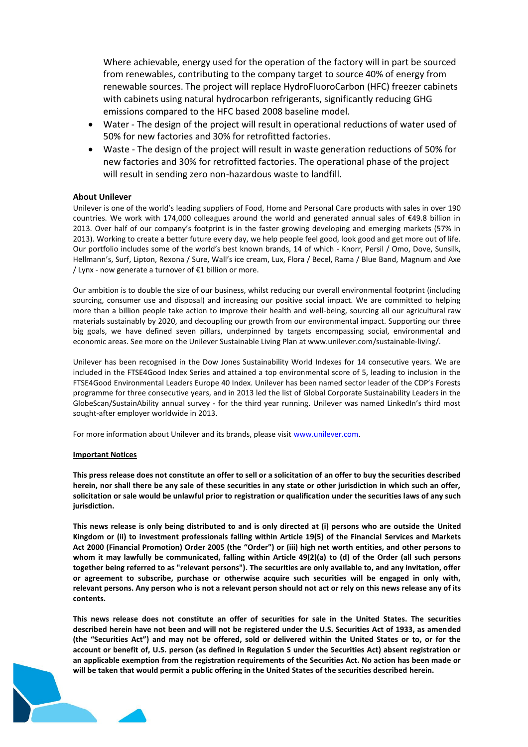Where achievable, energy used for the operation of the factory will in part be sourced from renewables, contributing to the company target to source 40% of energy from renewable sources. The project will replace HydroFluoroCarbon (HFC) freezer cabinets with cabinets using natural hydrocarbon refrigerants, significantly reducing GHG emissions compared to the HFC based 2008 baseline model.

- Water The design of the project will result in operational reductions of water used of 50% for new factories and 30% for retrofitted factories.
- Waste The design of the project will result in waste generation reductions of 50% for new factories and 30% for retrofitted factories. The operational phase of the project will result in sending zero non-hazardous waste to landfill.

### **About Unilever**

Unilever is one of the world's leading suppliers of Food, Home and Personal Care products with sales in over 190 countries. We work with 174,000 colleagues around the world and generated annual sales of €49.8 billion in 2013. Over half of our company's footprint is in the faster growing developing and emerging markets (57% in 2013). Working to create a better future every day, we help people feel good, look good and get more out of life. Our portfolio includes some of the world's best known brands, 14 of which - Knorr, Persil / Omo, Dove, Sunsilk, Hellmann's, Surf, Lipton, Rexona / Sure, Wall's ice cream, Lux, Flora / Becel, Rama / Blue Band, Magnum and Axe / Lynx - now generate a turnover of €1 billion or more.

Our ambition is to double the size of our business, whilst reducing our overall environmental footprint (including sourcing, consumer use and disposal) and increasing our positive social impact. We are committed to helping more than a billion people take action to improve their health and well-being, sourcing all our agricultural raw materials sustainably by 2020, and decoupling our growth from our environmental impact. Supporting our three big goals, we have defined seven pillars, underpinned by targets encompassing social, environmental and economic areas. See more on the Unilever Sustainable Living Plan at www.unilever.com/sustainable-living/.

Unilever has been recognised in the Dow Jones Sustainability World Indexes for 14 consecutive years. We are included in the FTSE4Good Index Series and attained a top environmental score of 5, leading to inclusion in the FTSE4Good Environmental Leaders Europe 40 Index. Unilever has been named sector leader of the CDP's Forests programme for three consecutive years, and in 2013 led the list of Global Corporate Sustainability Leaders in the GlobeScan/SustainAbility annual survey - for the third year running. Unilever was named LinkedIn's third most sought-after employer worldwide in 2013.

For more information about Unilever and its brands, please visit www.unilever.com.

#### **Important Notices**

**This press release does not constitute an offer to sell or a solicitation of an offer to buy the securities described herein, nor shall there be any sale of these securities in any state or other jurisdiction in which such an offer, solicitation or sale would be unlawful prior to registration or qualification under the securities laws of any such jurisdiction.**

**This news release is only being distributed to and is only directed at (i) persons who are outside the United Kingdom or (ii) to investment professionals falling within Article 19(5) of the Financial Services and Markets Act 2000 (Financial Promotion) Order 2005 (the "Order") or (iii) high net worth entities, and other persons to whom it may lawfully be communicated, falling within Article 49(2)(a) to (d) of the Order (all such persons together being referred to as "relevant persons"). The securities are only available to, and any invitation, offer or agreement to subscribe, purchase or otherwise acquire such securities will be engaged in only with, relevant persons. Any person who is not a relevant person should not act or rely on this news release any of its contents.**

**This news release does not constitute an offer of securities for sale in the United States. The securities described herein have not been and will not be registered under the U.S. Securities Act of 1933, as amended (the "Securities Act") and may not be offered, sold or delivered within the United States or to, or for the account or benefit of, U.S. person (as defined in Regulation S under the Securities Act) absent registration or an applicable exemption from the registration requirements of the Securities Act. No action has been made or will be taken that would permit a public offering in the United States of the securities described herein.**